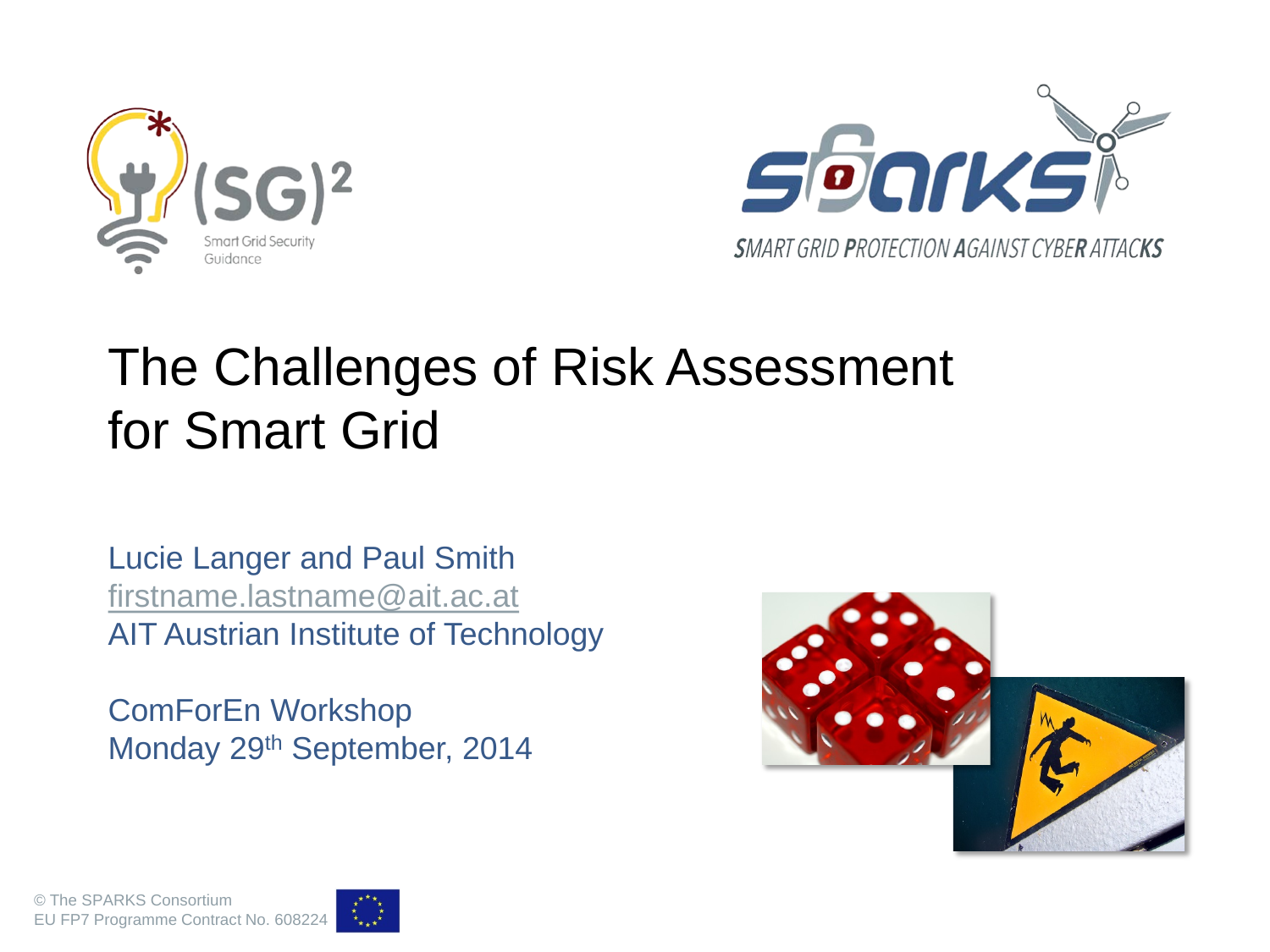



#### The Challenges of Risk Assessment for Smart Grid

Lucie Langer and Paul Smith [firstname.lastname@ait.ac.at](mailto:firstname.lastname@ait.ac.at) AIT Austrian Institute of Technology

ComForEn Workshop Monday 29th September, 2014



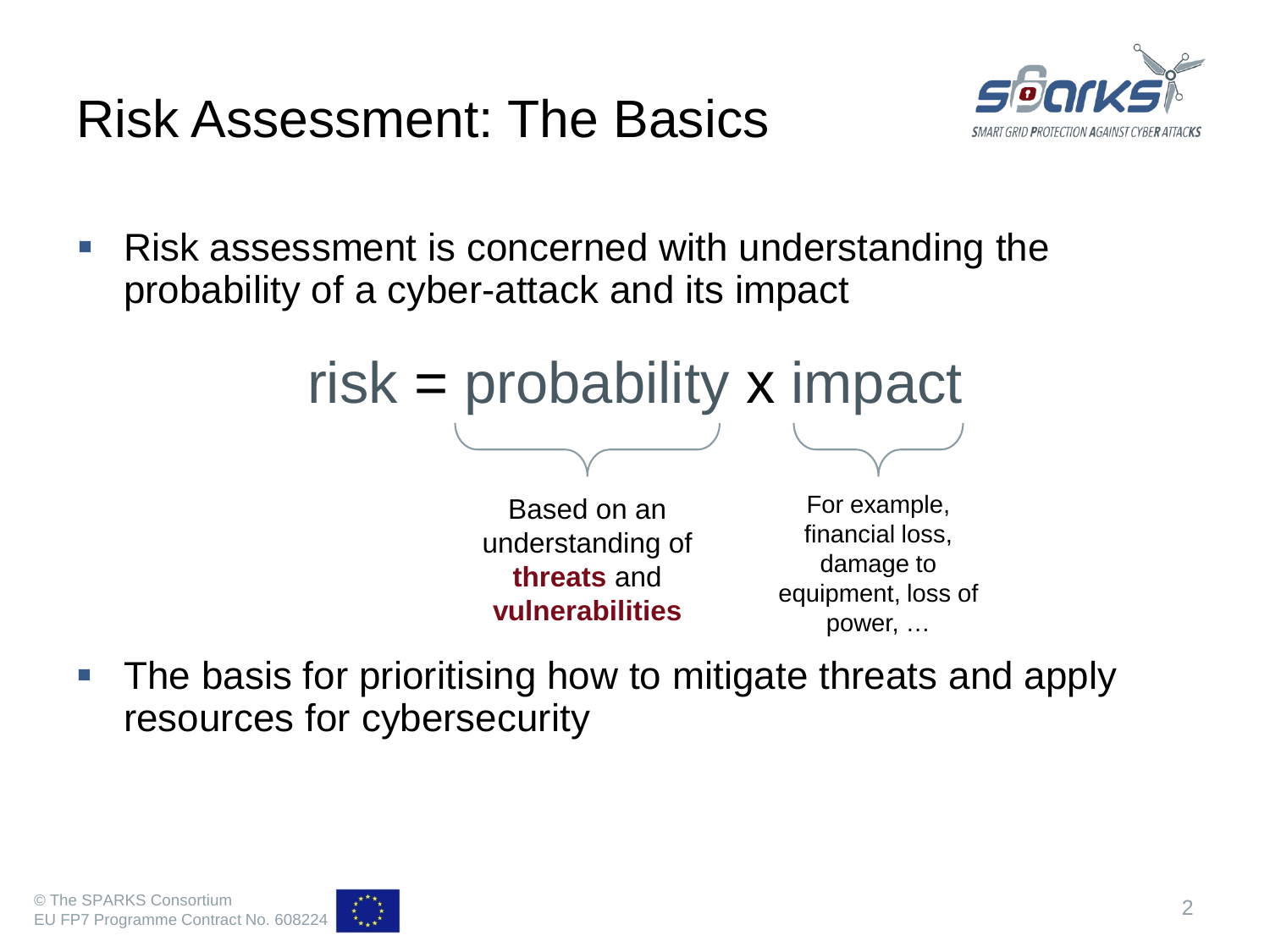



 Risk assessment is concerned with understanding the probability of a cyber-attack and its impact



 The basis for prioritising how to mitigate threats and apply resources for cybersecurity

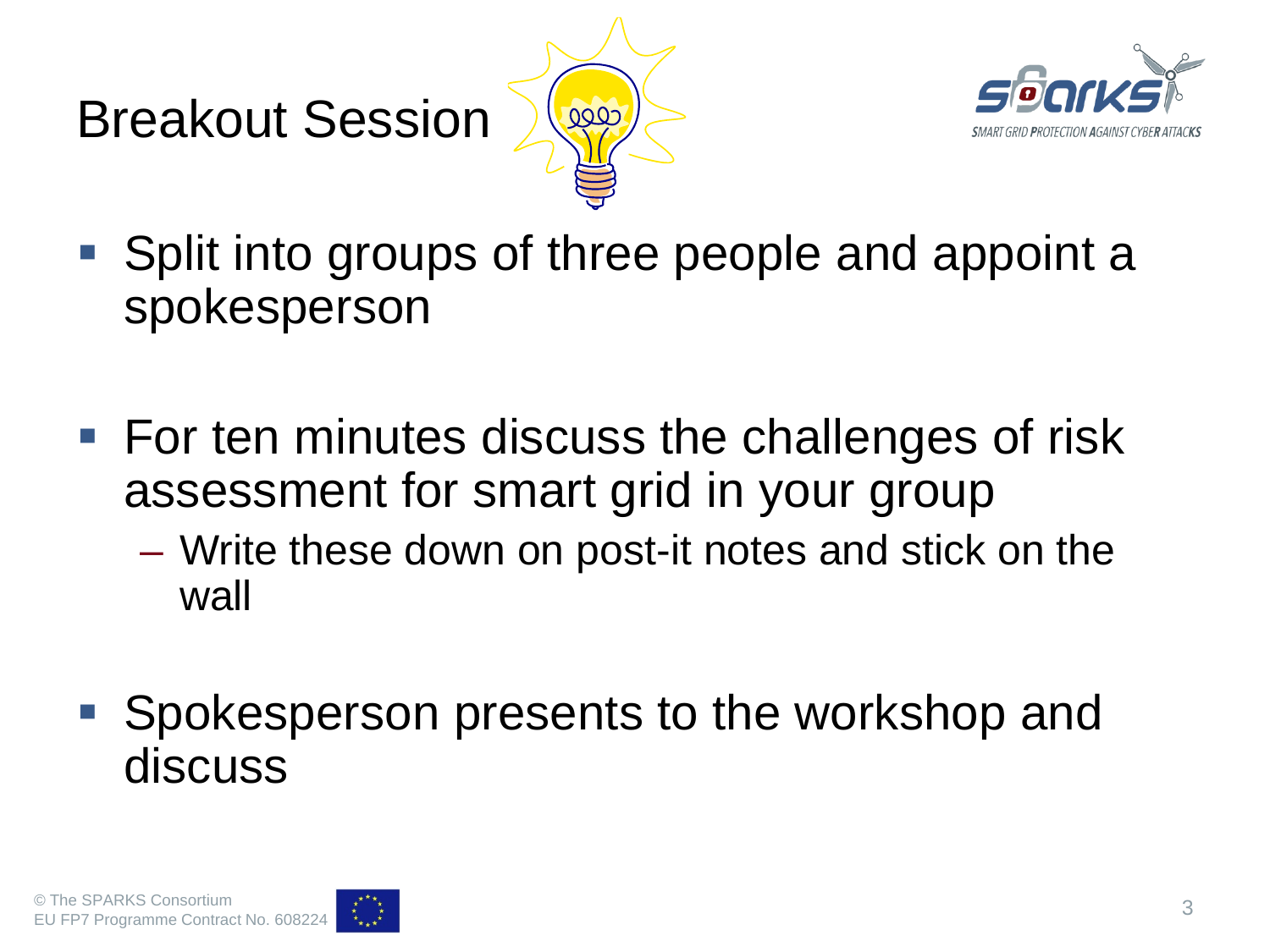# Breakout Session





- Split into groups of three people and appoint a spokesperson
- For ten minutes discuss the challenges of risk assessment for smart grid in your group
	- Write these down on post-it notes and stick on the wall
- Spokesperson presents to the workshop and discuss

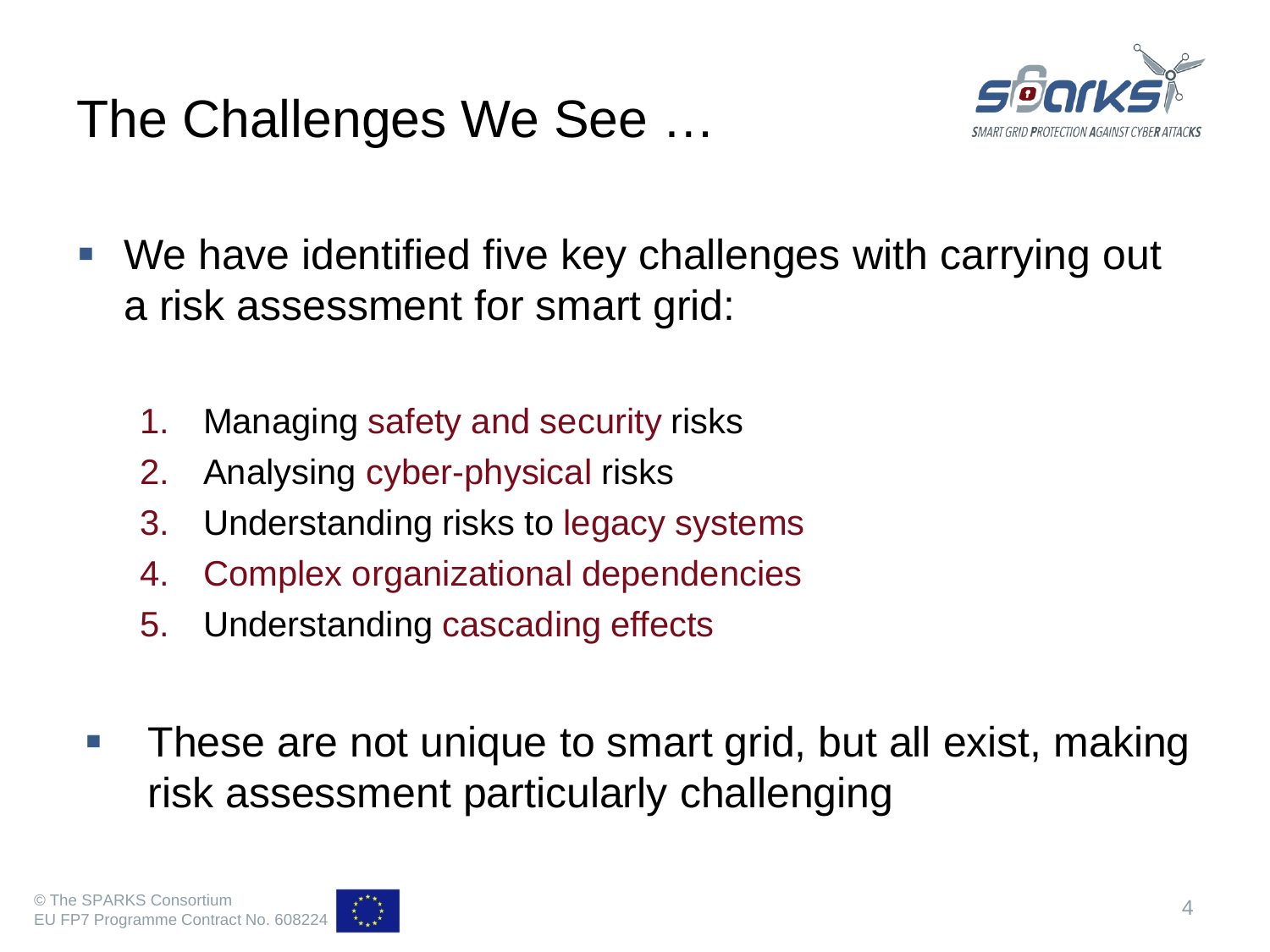#### The Challenges We See …



- We have identified five key challenges with carrying out a risk assessment for smart grid:
	- 1. Managing safety and security risks
	- 2. Analysing cyber-physical risks
	- 3. Understanding risks to legacy systems
	- 4. Complex organizational dependencies
	- 5. Understanding cascading effects
- **These are not unique to smart grid, but all exist, making** risk assessment particularly challenging

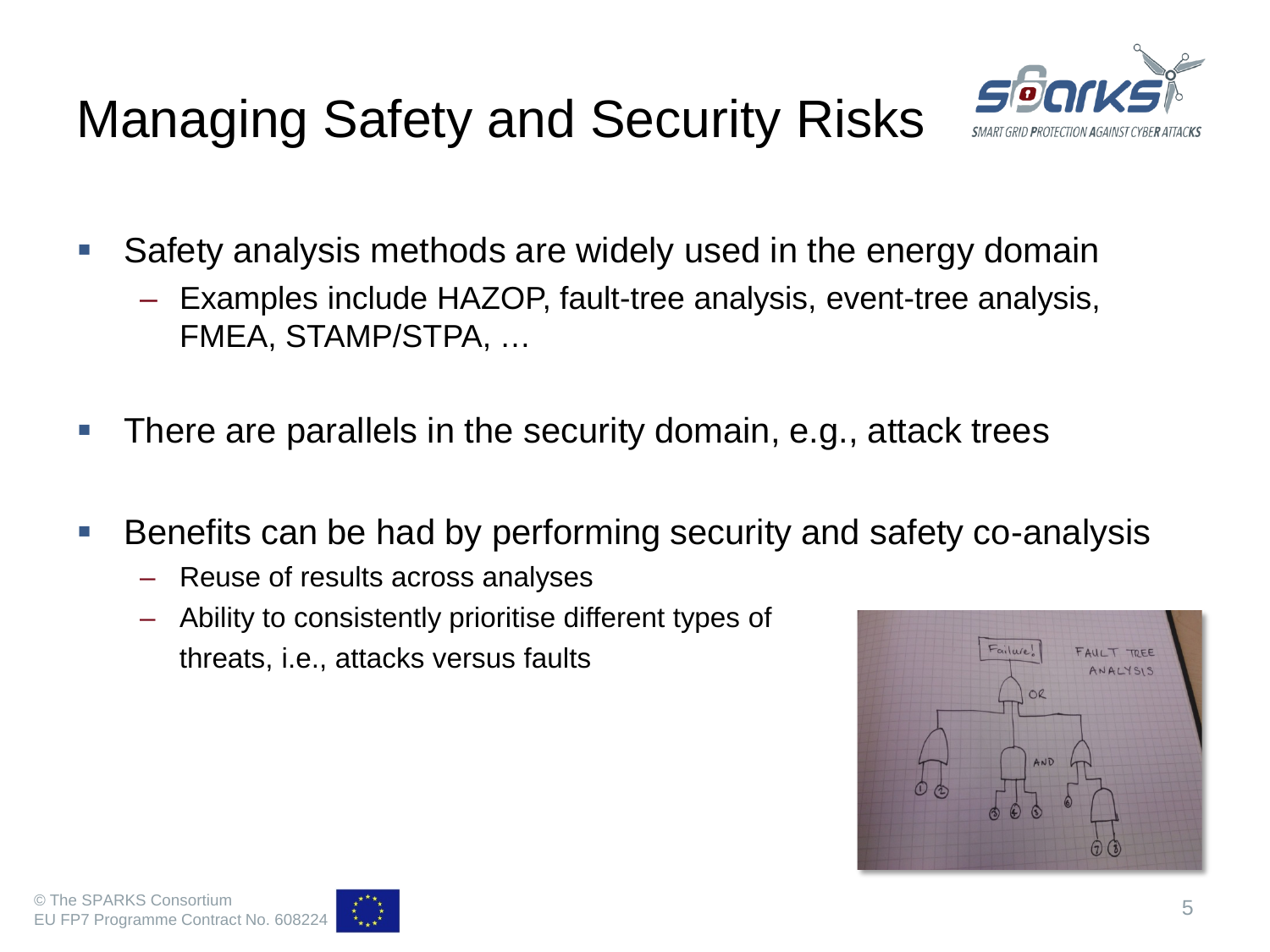# Managing Safety and Security Risks



- **Safety analysis methods are widely used in the energy domain** 
	- Examples include HAZOP, fault-tree analysis, event-tree analysis, FMEA, STAMP/STPA, …
- There are parallels in the security domain, e.g., attack trees
- Benefits can be had by performing security and safety co-analysis
	- Reuse of results across analyses
	- Ability to consistently prioritise different types of threats, i.e., attacks versus faults



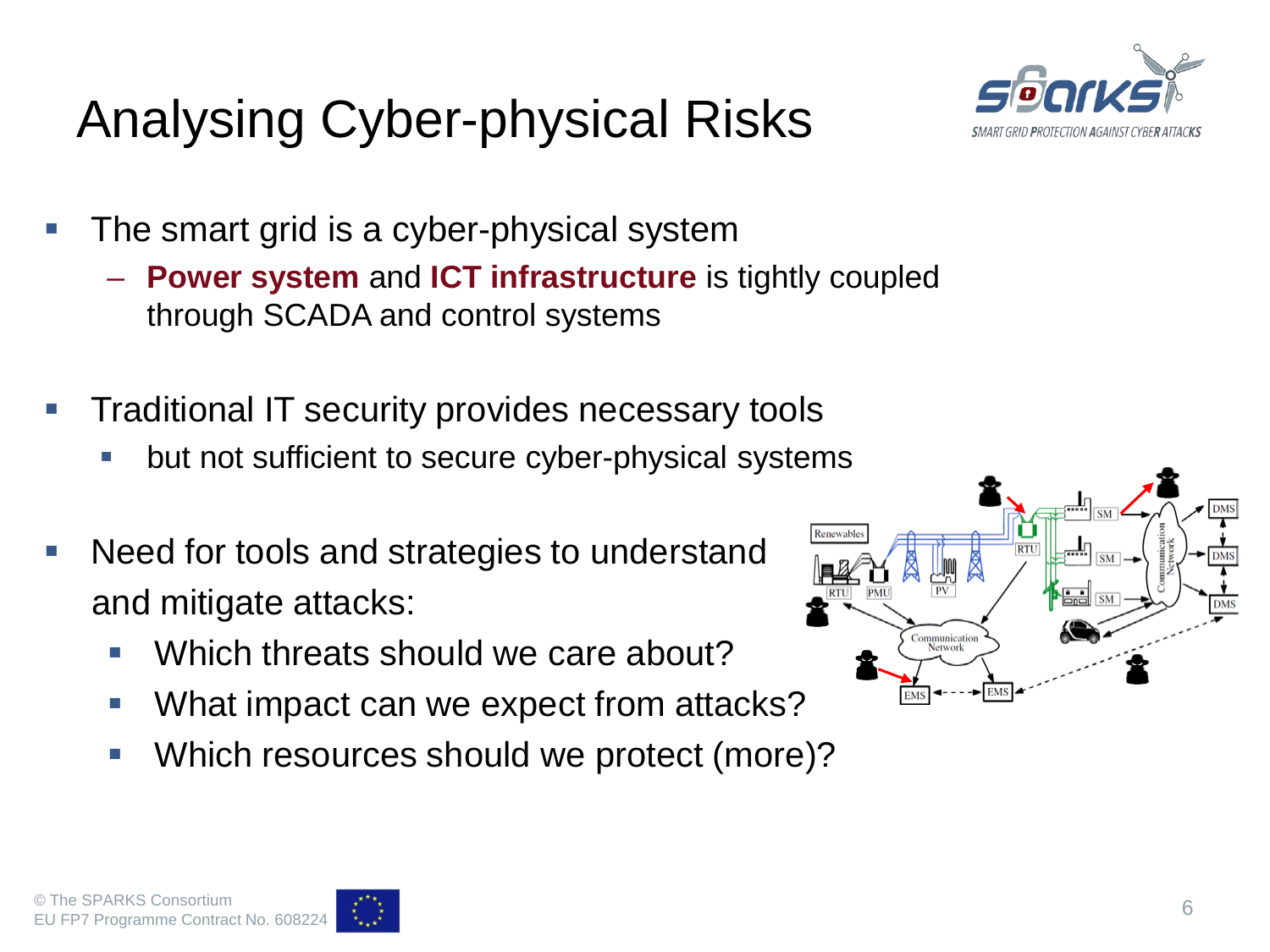### Analysing Cyber-physical Risks



- The smart grid is a cyber-physical system
	- **Power system** and **ICT infrastructure** is tightly coupled through SCADA and control systems
- Traditional IT security provides necessary tools
	- but not sufficient to secure cyber-physical systems
- Need for tools and strategies to understand and mitigate attacks:
	- Which threats should we care about?
	- What impact can we expect from attacks?
	- **Which resources should we protect (more)?**



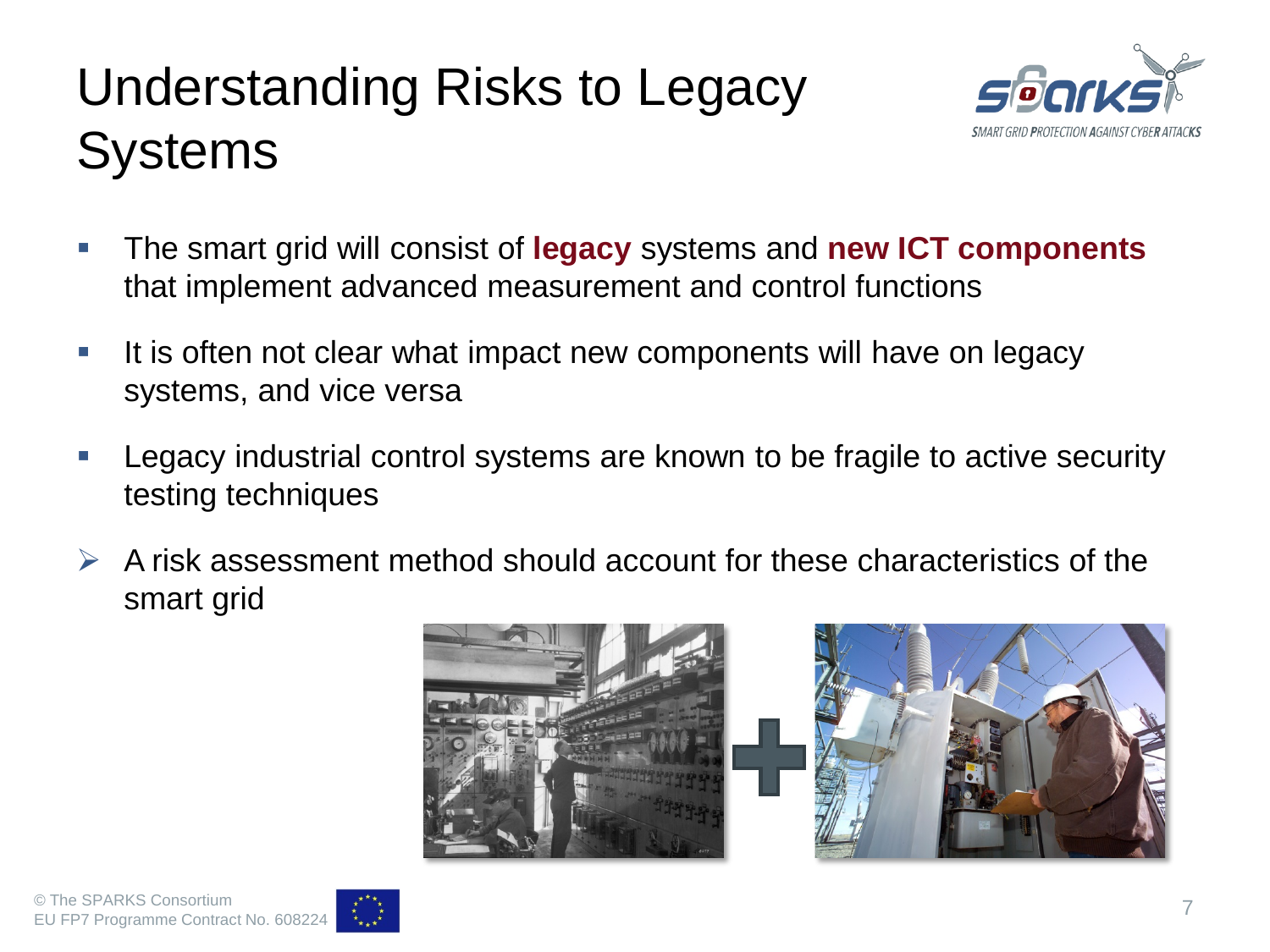# Understanding Risks to Legacy **Systems**



- The smart grid will consist of **legacy** systems and **new ICT components**  that implement advanced measurement and control functions
- It is often not clear what impact new components will have on legacy systems, and vice versa
- Legacy industrial control systems are known to be fragile to active security testing techniques
- $\triangleright$  A risk assessment method should account for these characteristics of the smart grid



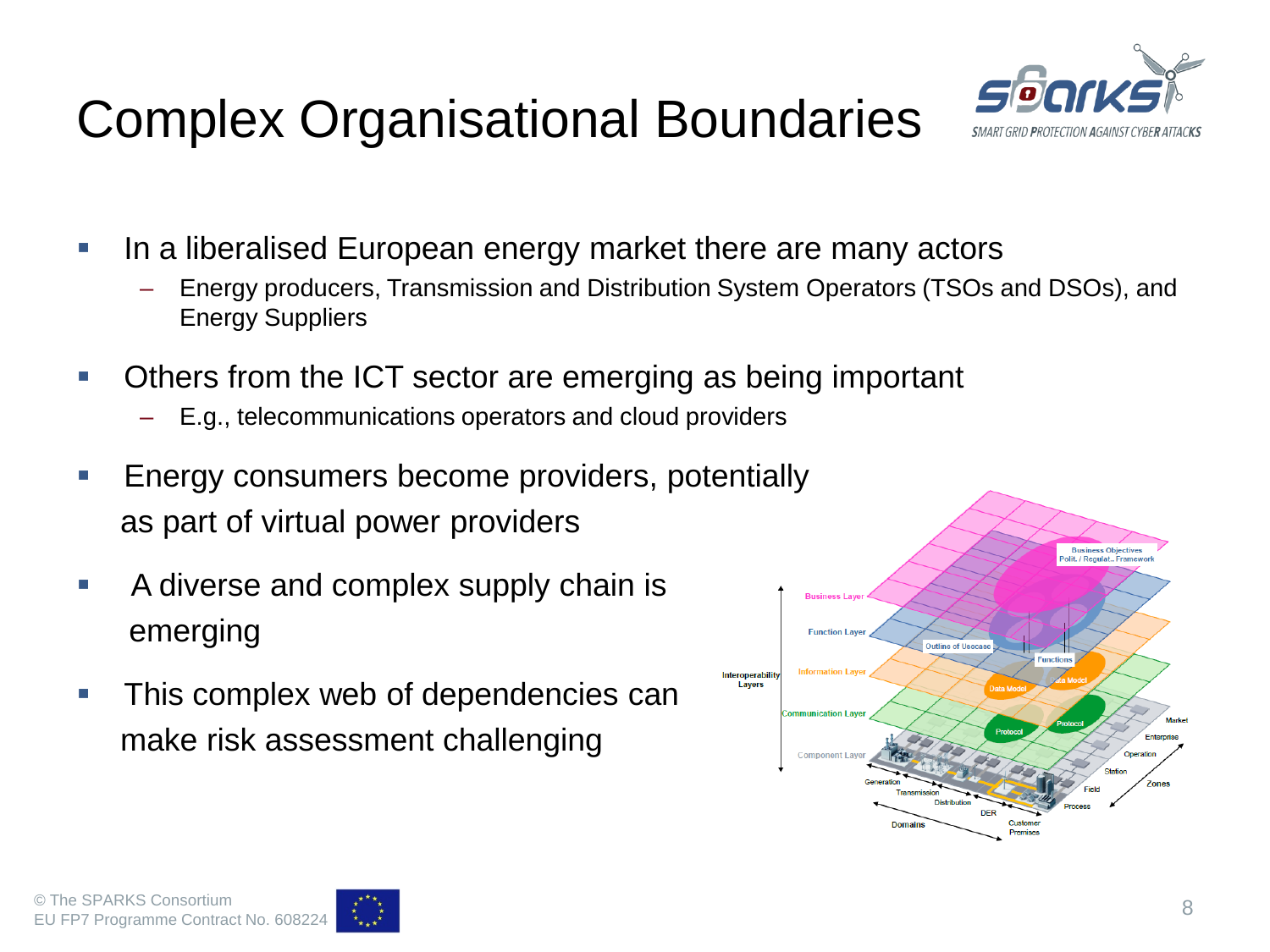## Complex Organisational Boundaries



- In a liberalised European energy market there are many actors
	- Energy producers, Transmission and Distribution System Operators (TSOs and DSOs), and Energy Suppliers
- Others from the ICT sector are emerging as being important
	- E.g., telecommunications operators and cloud providers
- Energy consumers become providers, potentially as part of virtual power providers
- A diverse and complex supply chain is emerging
- **This complex web of dependencies can** make risk assessment challenging



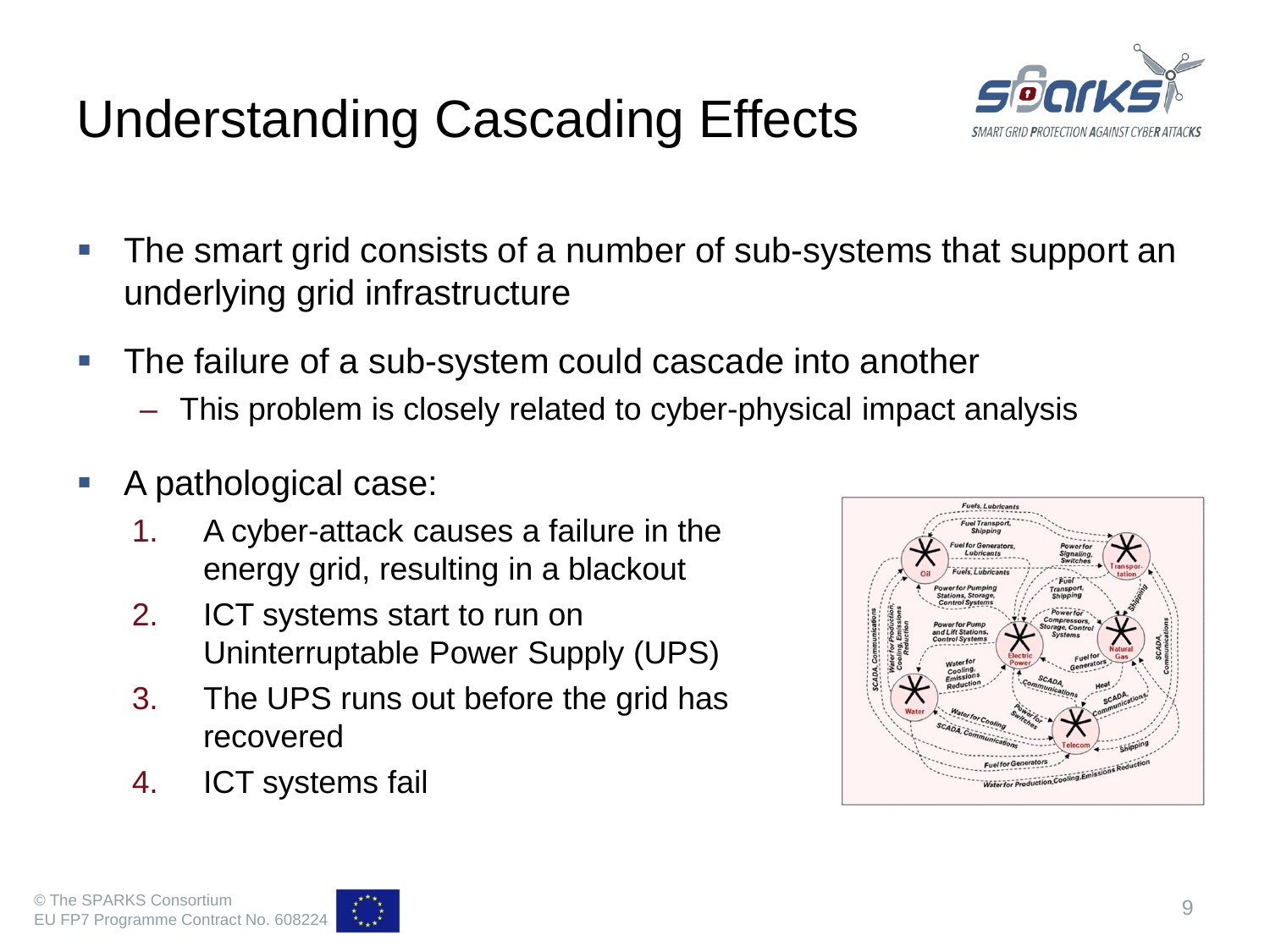### Understanding Cascading Effects



- The smart grid consists of a number of sub-systems that support an underlying grid infrastructure
- The failure of a sub-system could cascade into another
	- This problem is closely related to cyber-physical impact analysis
- A pathological case:
	- 1. A cyber-attack causes a failure in the energy grid, resulting in a blackout
	- 2. ICT systems start to run on Uninterruptable Power Supply (UPS)
	- 3. The UPS runs out before the grid has recovered
	- 4. ICT systems fail



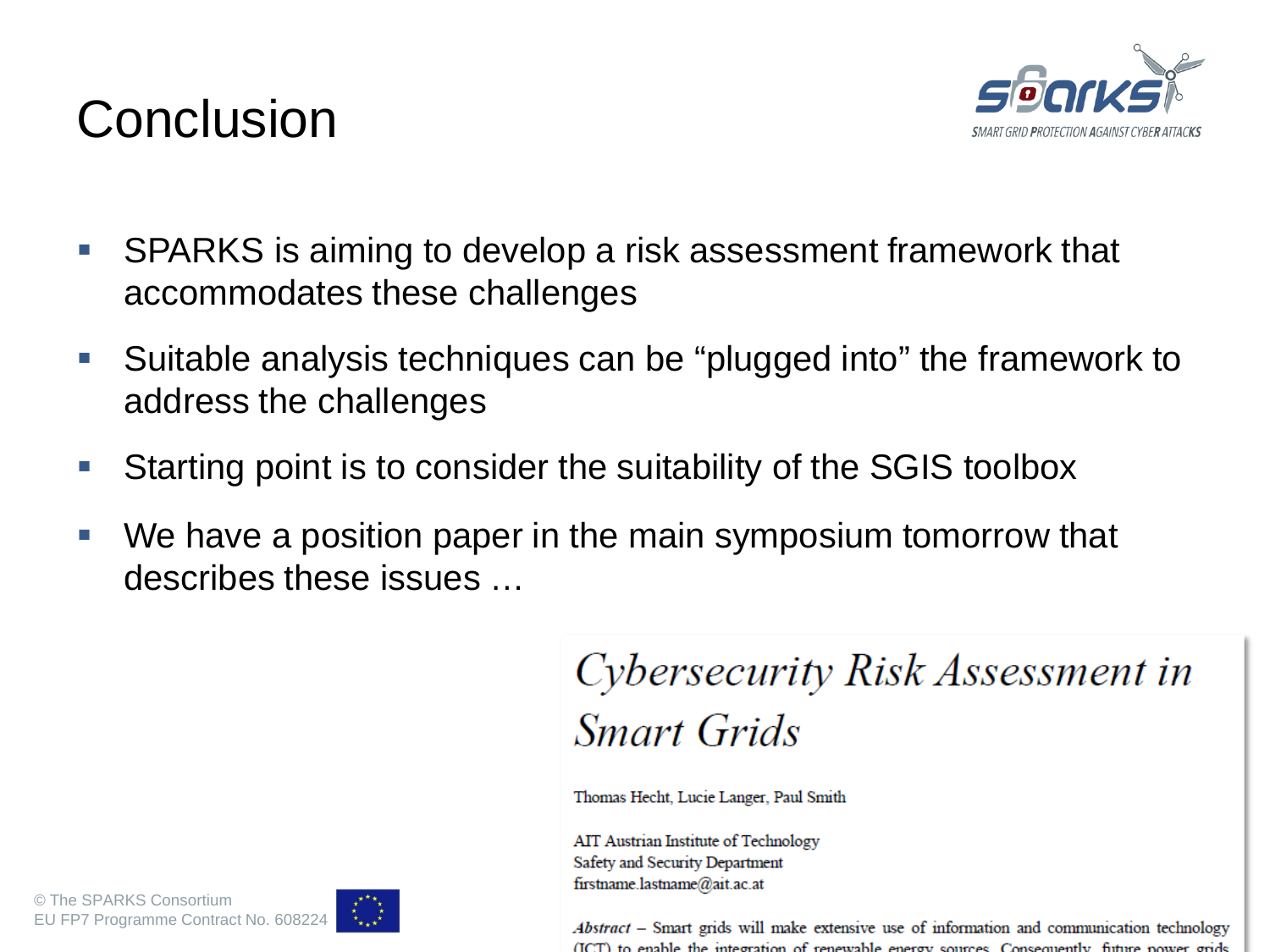

#### **Conclusion**

- SPARKS is aiming to develop a risk assessment framework that accommodates these challenges
- Suitable analysis techniques can be "plugged into" the framework to address the challenges
- Starting point is to consider the suitability of the SGIS toolbox
- We have a position paper in the main symposium tomorrow that describes these issues …

Cybersecurity Risk Assessment in **Smart Grids** 

Thomas Hecht, Lucie Langer, Paul Smith

AIT Austrian Institute of Technology Safety and Security Department firstname.lastname@ait.ac.at

(ICT) to enable the integration of renewable energy sources. Consequently, future power grids